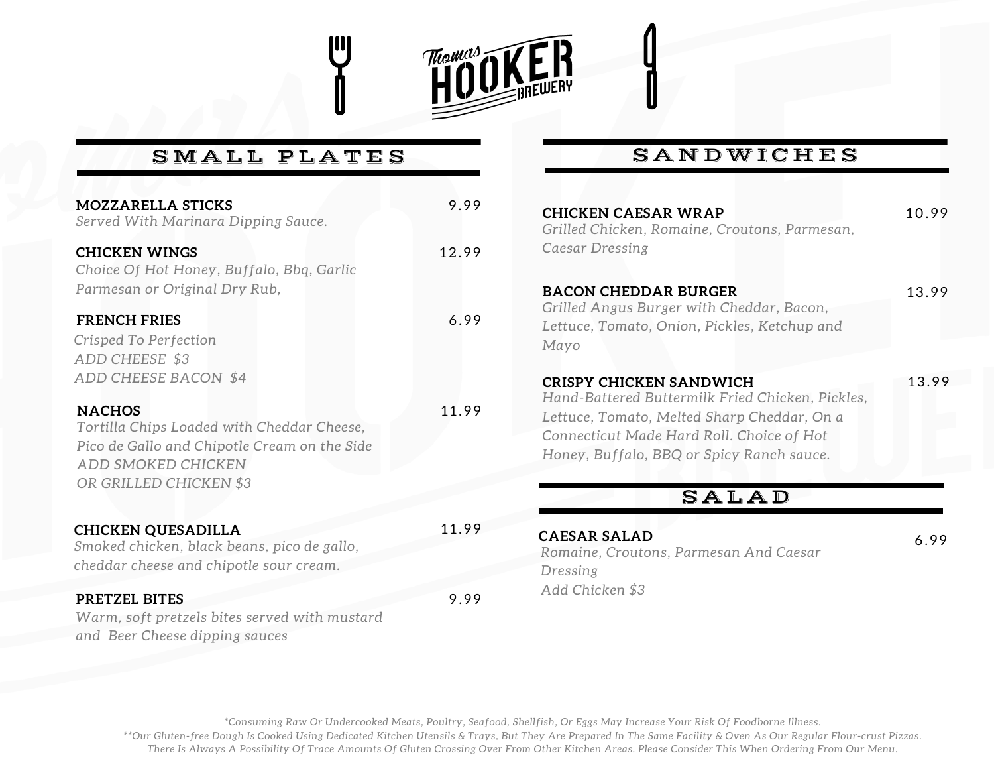

## SMALL PLATES

| <b>MOZZARELLA STICKS</b><br>Served With Marinara Dipping Sauce.                                                                                             | 9.99  |
|-------------------------------------------------------------------------------------------------------------------------------------------------------------|-------|
| <b>CHICKEN WINGS</b><br>Choice Of Hot Honey, Buffalo, Bbq, Garlic<br>Parmesan or Original Dry Rub,                                                          | 12.99 |
| <b>FRENCH FRIES</b><br>Crisped To Perfection<br>ADD CHEESE \$3<br>ADD CHEESE BACON \$4                                                                      | 6.99  |
| <b>NACHOS</b><br>Tortilla Chips Loaded with Cheddar Cheese,<br>Pico de Gallo and Chipotle Cream on the Side<br>ADD SMOKED CHICKEN<br>OR GRILLED CHICKEN \$3 | 11.99 |
| <b>CHICKEN QUESADILLA</b><br>Smoked chicken, black beans, pico de gallo,<br>cheddar cheese and chipotle sour cream.                                         | 11.99 |
| <b>PRETZEL BITES</b><br>Warm, soft pretzels bites served with mustard<br>and Beer Cheese dipping sauces                                                     | 9.99  |

## SANDWICHES

| 10.99 |
|-------|
|       |
|       |
|       |
| 13.99 |
|       |
|       |
|       |
|       |
| 13.99 |
|       |
|       |
|       |
|       |
|       |
|       |
|       |
| 6.99  |
|       |
|       |
|       |
|       |

\*Consuming Raw Or Undercooked Meats, Poultry, Seafood, Shellfish, Or Eggs May Increase Your Risk Of Foodborne Illness. \*\*Our Gluten-free Dough Is Cooked Using Dedicated Kitchen Utensils & Trays, But They Are Prepared In The Same Facility & Oven As Our Regular Flour-crust Pizzas. There Is Always A Possibility Of Trace Amounts Of Gluten Crossing Over From Other Kitchen Areas. Please Consider This When Ordering From Our Menu.